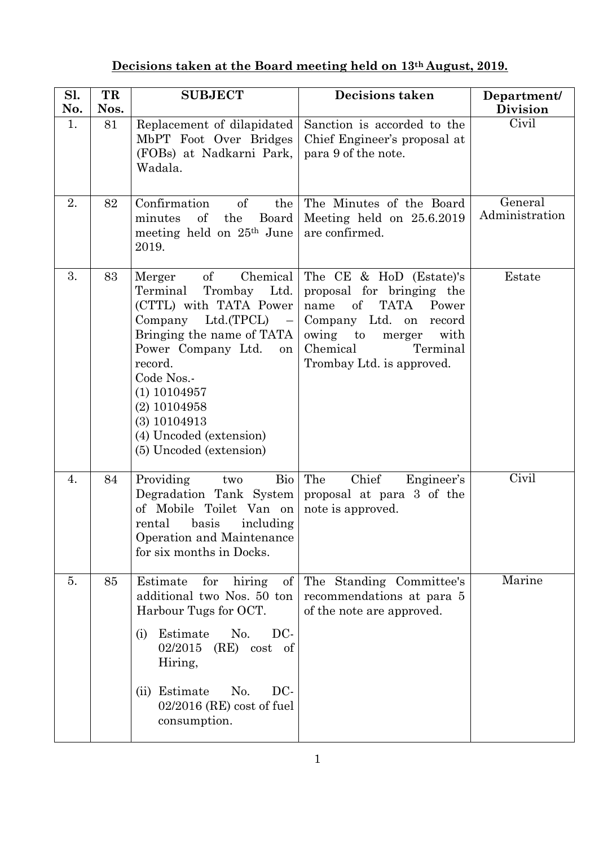## **Decisions taken at the Board meeting held on 13th August, 2019.**

| Sl.<br>No. | TR<br>Nos. | <b>SUBJECT</b>                                                                                                                                                                                                                                                                                                           | <b>Decisions taken</b>                                                                                                                                                                              | Department/<br><b>Division</b> |
|------------|------------|--------------------------------------------------------------------------------------------------------------------------------------------------------------------------------------------------------------------------------------------------------------------------------------------------------------------------|-----------------------------------------------------------------------------------------------------------------------------------------------------------------------------------------------------|--------------------------------|
| 1.         | 81         | Replacement of dilapidated<br>MbPT Foot Over Bridges<br>(FOBs) at Nadkarni Park,<br>Wadala.                                                                                                                                                                                                                              | Sanction is accorded to the<br>Chief Engineer's proposal at<br>para 9 of the note.                                                                                                                  | Civil                          |
| 2.         | 82         | of<br>Confirmation<br>the<br>minutes<br>of<br>the<br>Board<br>meeting held on 25 <sup>th</sup> June<br>2019.                                                                                                                                                                                                             | The Minutes of the Board<br>Meeting held on 25.6.2019<br>are confirmed.                                                                                                                             | General<br>Administration      |
| 3.         | 83         | Chemical<br>of<br>Merger<br>Trombay Ltd.<br>Terminal<br>(CTTL) with TATA Power<br>Company Ltd.(TPCL)<br>$\hspace{0.1cm} -$<br>Bringing the name of TATA<br>Power Company Ltd.<br>on<br>record.<br>Code Nos.-<br>$(1)$ 10104957<br>$(2)$ 10104958<br>$(3)$ 10104913<br>(4) Uncoded (extension)<br>(5) Uncoded (extension) | The CE & HoD (Estate)'s<br>proposal for bringing the<br>of<br>TATA<br>Power<br>name<br>Company Ltd. on<br>record<br>owing to<br>with<br>merger<br>Chemical<br>Terminal<br>Trombay Ltd. is approved. | Estate                         |
| 4.         | 84         | Providing<br>Bio<br>two<br>Degradation Tank System<br>of Mobile Toilet Van on<br>basis<br>rental<br>including<br>Operation and Maintenance<br>for six months in Docks.                                                                                                                                                   | The<br>Chief<br>Engineer's<br>proposal at para 3 of the<br>note is approved.                                                                                                                        | Civil                          |
| 5.         | 85         | Estimate<br>for<br>of<br>hiring<br>additional two Nos. 50 ton<br>Harbour Tugs for OCT.<br>Estimate<br>No.<br>DC-<br>(i)<br>$(RE) \cost \ of$<br>02/2015<br>Hiring,<br>No.<br>DC-<br>(ii) Estimate<br>$02/2016$ (RE) cost of fuel<br>consumption.                                                                         | The Standing Committee's<br>recommendations at para 5<br>of the note are approved.                                                                                                                  | Marine                         |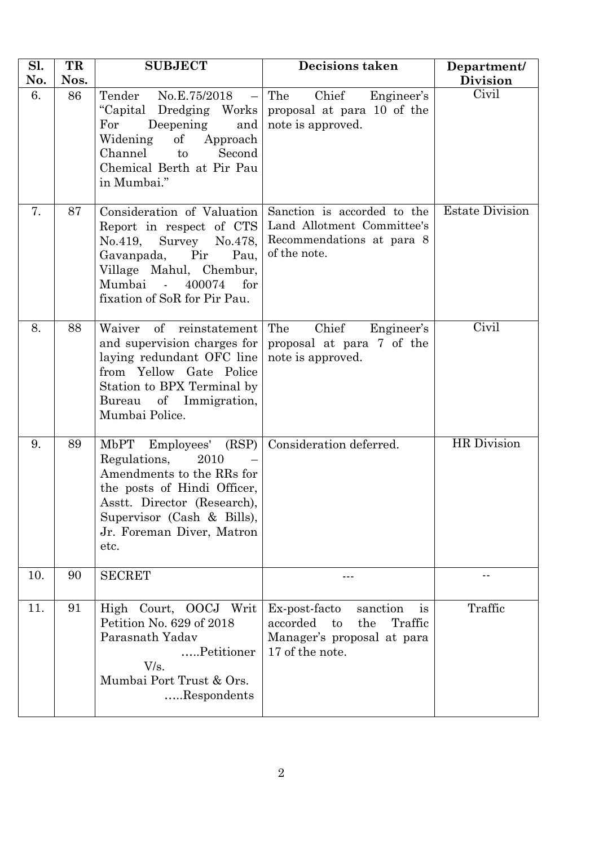| Sl.<br>No. | TR<br>Nos. | <b>SUBJECT</b>                                                                                                                                                                                              | <b>Decisions taken</b>                                                                                               | Department/<br><b>Division</b> |
|------------|------------|-------------------------------------------------------------------------------------------------------------------------------------------------------------------------------------------------------------|----------------------------------------------------------------------------------------------------------------------|--------------------------------|
| 6.         | 86         | Tender No.E.75/2018 -<br>"Capital Dredging Works"<br>For<br>Deepening<br>and<br>Widening<br>of<br>Approach<br>Channel<br>Second<br>to<br>Chemical Berth at Pir Pau<br>in Mumbai."                           | Chief Engineer's<br>The<br>proposal at para 10 of the<br>note is approved.                                           | Civil                          |
| 7.         | 87         | Consideration of Valuation<br>Report in respect of CTS<br>No.419, Survey No.478,<br>Gavanpada,<br>Pir<br>Pau,<br>Village Mahul, Chembur,<br>Mumbai -<br>400074<br>for<br>fixation of SoR for Pir Pau.       | Sanction is accorded to the<br>Land Allotment Committee's<br>Recommendations at para 8<br>of the note.               | <b>Estate Division</b>         |
| 8.         | 88         | Waiver of reinstatement<br>and supervision charges for<br>laying redundant OFC line<br>from Yellow Gate Police<br>Station to BPX Terminal by<br>Bureau of Immigration,<br>Mumbai Police.                    | Chief<br>The<br>Engineer's<br>proposal at para 7 of the<br>note is approved.                                         | Civil                          |
| 9.         | 89         | MbPT Employees' (RSP)<br>Regulations,<br>2010<br>Amendments to the RRs for<br>the posts of Hindi Officer,<br>Asstt. Director (Research).<br>Supervisor (Cash & Bills),<br>Jr. Foreman Diver, Matron<br>etc. | Consideration deferred.                                                                                              | HR Division                    |
| 10.        | 90         | <b>SECRET</b>                                                                                                                                                                                               |                                                                                                                      |                                |
| 11.        | 91         | Court, OOCJ<br>Writ<br>High<br>Petition No. 629 of 2018<br>Parasnath Yadav<br>Petitioner<br>V/s.<br>Mumbai Port Trust & Ors.<br>Respondents                                                                 | Ex-post-facto<br>is<br>sanction<br>accorded<br>the<br>Traffic<br>to<br>Manager's proposal at para<br>17 of the note. | Traffic                        |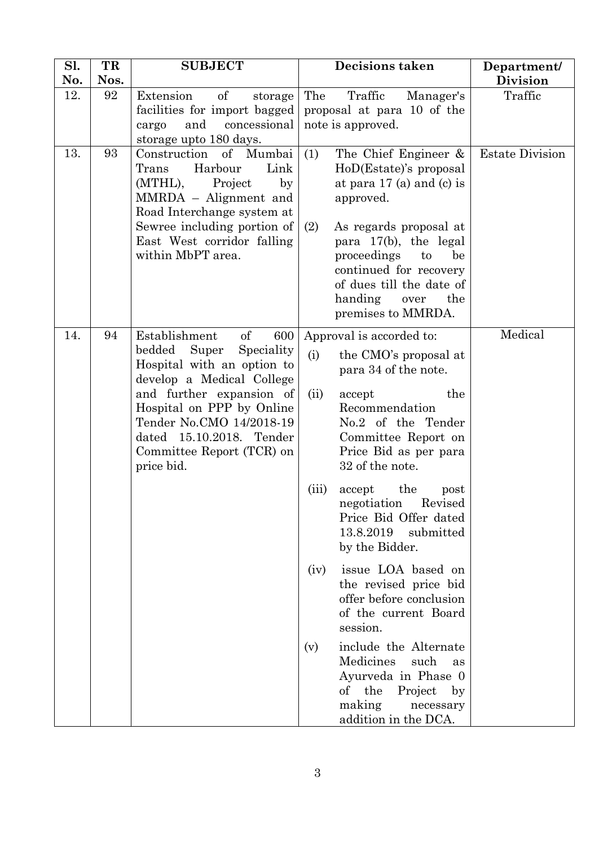| Sl.<br>No. | TR<br>Nos. | <b>SUBJECT</b>                                                                                                                                                                                                                                                                     | <b>Decisions taken</b>                                                                                                                                                                                                                                                                                                                                                                                                                                                                                                                                                                                                                  | Department/<br><b>Division</b> |
|------------|------------|------------------------------------------------------------------------------------------------------------------------------------------------------------------------------------------------------------------------------------------------------------------------------------|-----------------------------------------------------------------------------------------------------------------------------------------------------------------------------------------------------------------------------------------------------------------------------------------------------------------------------------------------------------------------------------------------------------------------------------------------------------------------------------------------------------------------------------------------------------------------------------------------------------------------------------------|--------------------------------|
| 12.        | 92         | Extension<br>of<br>storage<br>facilities for import bagged<br>and<br>concessional<br>cargo<br>storage upto 180 days.                                                                                                                                                               | Traffic<br>The<br>Manager's<br>proposal at para 10 of the<br>note is approved.                                                                                                                                                                                                                                                                                                                                                                                                                                                                                                                                                          | Traffic                        |
| 13.        | 93         | Construction of Mumbai<br>Harbour<br>Link<br>Trans<br>(MTHL),<br>Project<br>$_{\rm by}$<br>MMRDA - Alignment and<br>Road Interchange system at<br>Sewree including portion of<br>East West corridor falling<br>within MbPT area.                                                   | (1)<br>The Chief Engineer &<br>HoD(Estate)'s proposal<br>at para $17$ (a) and (c) is<br>approved.<br>As regards proposal at<br>(2)<br>para 17(b), the legal<br>proceedings<br>to<br>be<br>continued for recovery<br>of dues till the date of<br>handing<br>the<br>over<br>premises to MMRDA.                                                                                                                                                                                                                                                                                                                                            | <b>Estate Division</b>         |
| 14.        | 94         | of<br>Establishment<br>600<br>Speciality<br>bedded<br>Super<br>Hospital with an option to<br>develop a Medical College<br>and further expansion of<br>Hospital on PPP by Online<br>Tender No.CMO 14/2018-19<br>dated 15.10.2018. Tender<br>Committee Report (TCR) on<br>price bid. | Approval is accorded to:<br>(i)<br>the CMO's proposal at<br>para 34 of the note.<br>the<br>(ii)<br>accept<br>Recommendation<br>No.2 of the Tender<br>Committee Report on<br>Price Bid as per para<br>32 of the note.<br>the<br>(iii)<br>accept<br>post<br>Revised<br>negotiation<br>Price Bid Offer dated<br>13.8.2019<br>submitted<br>by the Bidder.<br>issue LOA based on<br>(iv)<br>the revised price bid<br>offer before conclusion<br>of the current Board<br>session.<br>include the Alternate<br>(v)<br>Medicines<br>such<br>as<br>Ayurveda in Phase 0<br>of the<br>Project<br>by<br>making<br>necessary<br>addition in the DCA. | Medical                        |